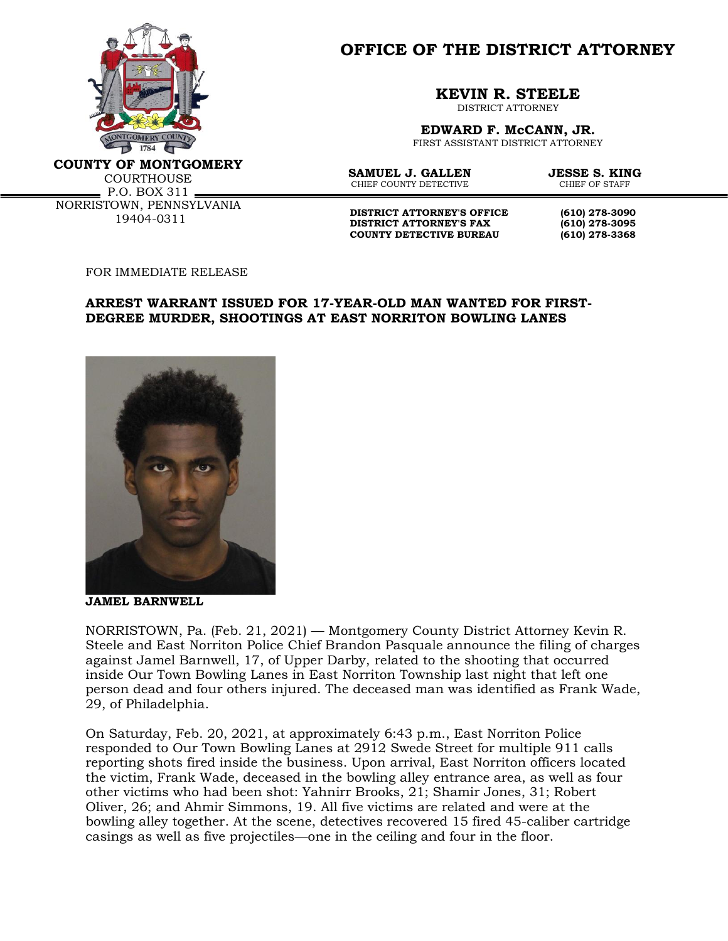

**OFFICE OF THE DISTRICT ATTORNEY**

**KEVIN R. STEELE**

DISTRICT ATTORNEY

**EDWARD F. McCANN, JR.** FIRST ASSISTANT DISTRICT ATTORNEY

**COUNTY OF MONTGOMERY**

**COURTHOUSE**  $P.0. BOX 311$ NORRISTOWN, PENNSYLVANIA 19404-0311

**SAMUEL J. GALLEN JESSE S. KING**<br>CHIEF COUNTY DETECTIVE CHIEF OF STAFF CHIEF COUNTY DETECTIVE

**DISTRICT ATTORNEY'S OFFICE** (610) 278-3090<br>DISTRICT ATTORNEY'S FAX (610) 278-3095 **DISTRICT ATTORNEY'S FAX (610) 278-3095 COUNTY DETECTIVE BUREAU (610) 278-3368**

FOR IMMEDIATE RELEASE

## **ARREST WARRANT ISSUED FOR 17-YEAR-OLD MAN WANTED FOR FIRST-DEGREE MURDER, SHOOTINGS AT EAST NORRITON BOWLING LANES**



**JAMEL BARNWELL**

NORRISTOWN, Pa. (Feb. 21, 2021) — Montgomery County District Attorney Kevin R. Steele and East Norriton Police Chief Brandon Pasquale announce the filing of charges against Jamel Barnwell, 17, of Upper Darby, related to the shooting that occurred inside Our Town Bowling Lanes in East Norriton Township last night that left one person dead and four others injured. The deceased man was identified as Frank Wade, 29, of Philadelphia.

On Saturday, Feb. 20, 2021, at approximately 6:43 p.m., East Norriton Police responded to Our Town Bowling Lanes at 2912 Swede Street for multiple 911 calls reporting shots fired inside the business. Upon arrival, East Norriton officers located the victim, Frank Wade, deceased in the bowling alley entrance area, as well as four other victims who had been shot: Yahnirr Brooks, 21; Shamir Jones, 31; Robert Oliver, 26; and Ahmir Simmons, 19. All five victims are related and were at the bowling alley together. At the scene, detectives recovered 15 fired 45-caliber cartridge casings as well as five projectiles—one in the ceiling and four in the floor.